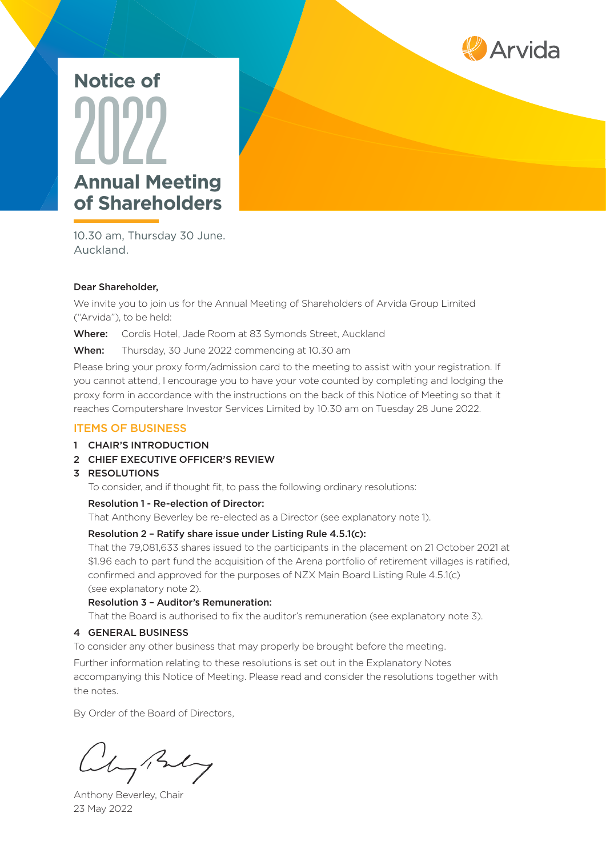

# **Annual Meeting of Shareholders** 2022 **Notice of**

10.30 am, Thursday 30 June. Auckland.

#### Dear Shareholder,

We invite you to join us for the Annual Meeting of Shareholders of Arvida Group Limited ("Arvida"), to be held:

Where: Cordis Hotel, Jade Room at 83 Symonds Street, Auckland

When: Thursday, 30 June 2022 commencing at 10.30 am

Please bring your proxy form/admission card to the meeting to assist with your registration. If you cannot attend, I encourage you to have your vote counted by completing and lodging the proxy form in accordance with the instructions on the back of this Notice of Meeting so that it reaches Computershare Investor Services Limited by 10.30 am on Tuesday 28 June 2022.

#### ITEMS OF BUSINESS

- 1 CHAIR'S INTRODUCTION
- 2 CHIEF EXECUTIVE OFFICER'S REVIEW
- 3 RESOLUTIONS

To consider, and if thought fit, to pass the following ordinary resolutions:

#### Resolution 1 - Re-election of Director:

That Anthony Beverley be re-elected as a Director (see explanatory note 1).

#### Resolution 2 – Ratify share issue under Listing Rule 4.5.1(c):

That the 79,081,633 shares issued to the participants in the placement on 21 October 2021 at \$1.96 each to part fund the acquisition of the Arena portfolio of retirement villages is ratified, confirmed and approved for the purposes of NZX Main Board Listing Rule 4.5.1(c) (see explanatory note 2).

#### Resolution 3 – Auditor's Remuneration:

That the Board is authorised to fix the auditor's remuneration (see explanatory note 3).

#### 4 GENERAL BUSINESS

To consider any other business that may properly be brought before the meeting.

Further information relating to these resolutions is set out in the Explanatory Notes accompanying this Notice of Meeting. Please read and consider the resolutions together with the notes.

By Order of the Board of Directors,

Cly Buly

Anthony Beverley, Chair 23 May 2022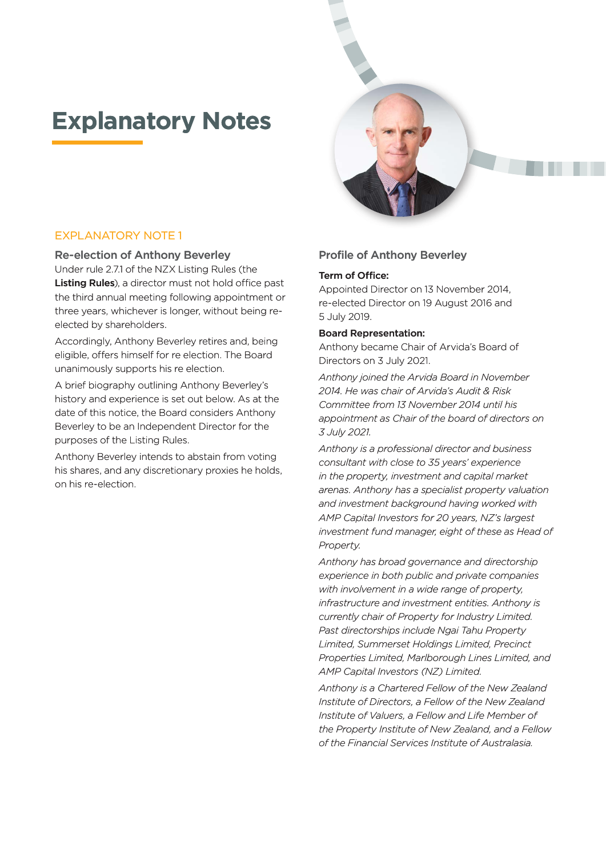# **Explanatory Notes**



# EXPLANATORY NOTE 1 EXPLANATORY NOTE 1

#### Re-election of Anthony Beverley Re-election of Anthony Beverley

Under rule 2.7.1 of the NZX Listing Rules (the Under rule 2.7.1 of the NZX Listing Rules (the Listing Rules), a director must not hold office past the third annual meeting following appointment or three years, whichever is longer, without being reelected by shareholders. **Listing Rules**), a director must not hold office past<br>the third annual meeting following appointment or<br>three years, whichever is longer, without being re-

Accordingly, Anthony Beverley retires and, being eligible, offers himself for re election. The Board unanimously supports his re election.

A brief biography outlining Anthony Beverley's history and experience is set out below. As at the date of this notice, the Board considers Anthony Beverley to be an Independent Director for the purposes of the Listing Rules.

Anthony Beverley intends to abstain from voting his shares, and any discretionary proxies he holds, on his re-election.

### Profile of Anthony Beverley

#### Term of Office:

Appointed Director on 13 November 2014, re-elected Director on 19 August 2016 and 5 July 2019.

#### Board Representation:

Anthony became Chair of Arvida's Board of Directors on 3 July 2021.

*Anthony joined the Arvida Board in November 2014. He was chair of Arvida's Audit & Risk Committee from 13 November 2014 until his appointment as Chair of the board of directors on 3 July 2021.* 

*Anthony is a professional director and business consultant with close to 35 years' experience in the property, investment and capital market arenas. Anthony has a specialist property valuation and investment background having worked with AMP Capital Investors for 20 years, NZ's largest investment fund manager, eight of these as Head of Property.*

*Anthony has broad governance and directorship experience in both public and private companies with involvement in a wide range of property, infrastructure and investment entities. Anthony is currently chair of Property for Industry Limited. Past directorships include Ngai Tahu Property Limited, Summerset Holdings Limited, Precinct Properties Limited, Marlborough Lines Limited, and AMP Capital Investors (NZ) Limited.*

*Anthony is a Chartered Fellow of the New Zealand Institute of Directors, a Fellow of the New Zealand Institute of Valuers, a Fellow and Life Member of the Property Institute of New Zealand, and a Fellow of the Financial Services Institute of Australasia.*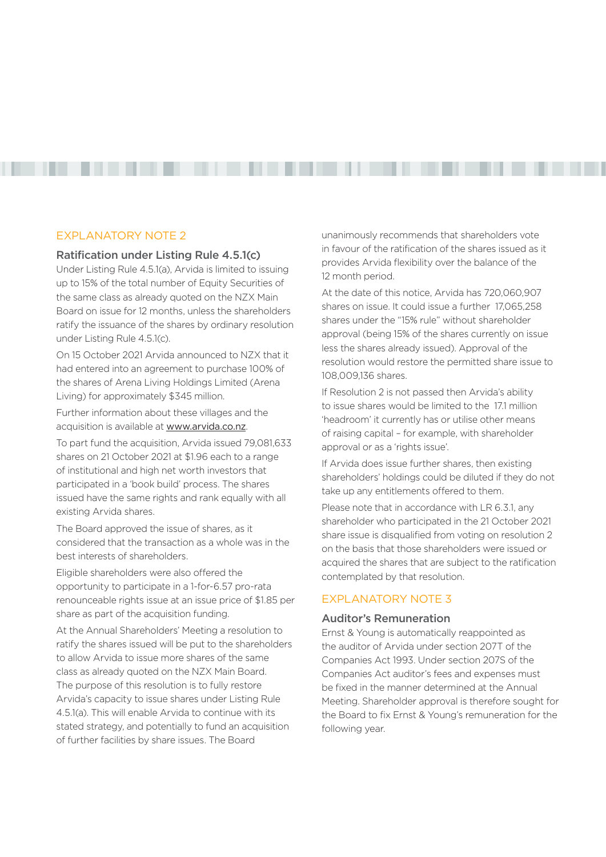### EXPLANATORY NOTE 2

Ratification under Listing Rule 4.5.1(c)

Under Listing Rule 4.5.1(a), Arvida is limited to issuing up to 15% of the total number of Equity Securities of the same class as already quoted on the NZX Main Board on issue for 12 months, unless the shareholders ratify the issuance of the shares by ordinary resolution under Listing Rule 4.5.1(c).

------------------------

On 15 October 2021 Arvida announced to NZX that it had entered into an agreement to purchase 100% of the shares of Arena Living Holdings Limited (Arena Living) for approximately \$345 million.

Further information about these villages and the acquisition is available at [www.arvida.co.nz](http://www.arvida.co.nz).

To part fund the acquisition, Arvida issued 79,081,633 shares on 21 October 2021 at \$1.96 each to a range of institutional and high net worth investors that participated in a 'book build' process. The shares issued have the same rights and rank equally with all existing Arvida shares.

The Board approved the issue of shares, as it considered that the transaction as a whole was in the best interests of shareholders.

Eligible shareholders were also offered the opportunity to participate in a 1-for-6.57 pro-rata renounceable rights issue at an issue price of \$1.85 per share as part of the acquisition funding.

At the Annual Shareholders' Meeting a resolution to ratify the shares issued will be put to the shareholders to allow Arvida to issue more shares of the same class as already quoted on the NZX Main Board. The purpose of this resolution is to fully restore Arvida's capacity to issue shares under Listing Rule 4.5.1(a). This will enable Arvida to continue with its stated strategy, and potentially to fund an acquisition of further facilities by share issues. The Board

unanimously recommends that shareholders vote in favour of the ratification of the shares issued as it provides Arvida flexibility over the balance of the 12 month period.

At the date of this notice, Arvida has 720,060,907 shares on issue. It could issue a further 17,065,258 shares under the "15% rule" without shareholder approval (being 15% of the shares currently on issue less the shares already issued). Approval of the resolution would restore the permitted share issue to 108,009,136 shares.

If Resolution 2 is not passed then Arvida's ability to issue shares would be limited to the 17.1 million 'headroom' it currently has or utilise other means of raising capital – for example, with shareholder approval or as a 'rights issue'.

If Arvida does issue further shares, then existing shareholders' holdings could be diluted if they do not take up any entitlements offered to them.

Please note that in accordance with LR 6.3.1, any shareholder who participated in the 21 October 2021 share issue is disqualified from voting on resolution 2 on the basis that those shareholders were issued or acquired the shares that are subject to the ratification contemplated by that resolution.

# EXPLANATORY NOTE 3

#### Auditor's Remuneration

Ernst & Young is automatically reappointed as the auditor of Arvida under section 207T of the Companies Act 1993. Under section 207S of the Companies Act auditor's fees and expenses must be fixed in the manner determined at the Annual Meeting. Shareholder approval is therefore sought for the Board to fix Ernst & Young's remuneration for the following year.